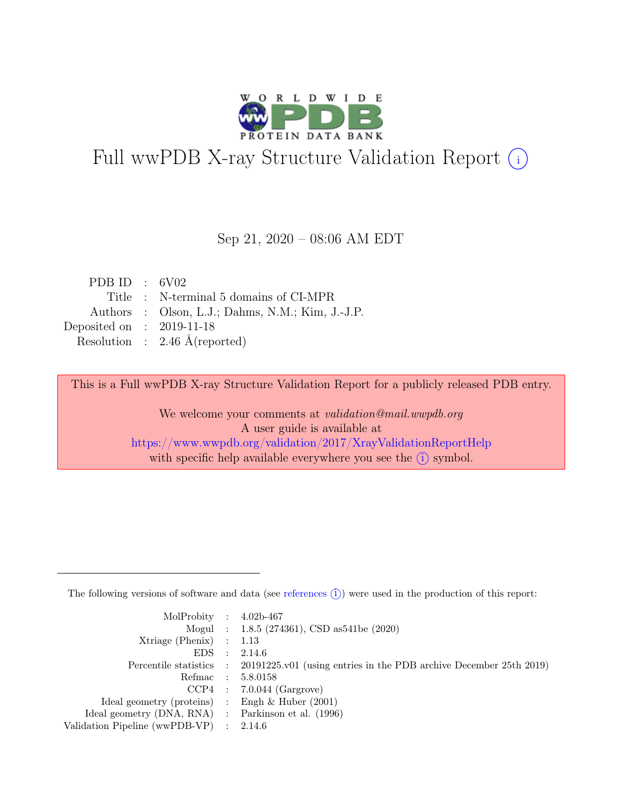

# Full wwPDB X-ray Structure Validation Report  $(i)$

#### Sep 21, 2020 – 08:06 AM EDT

| PDB ID : $6V02$             |                                                  |
|-----------------------------|--------------------------------------------------|
|                             | Title : N-terminal 5 domains of CI-MPR           |
|                             | Authors : Olson, L.J.; Dahms, N.M.; Kim, J.-J.P. |
| Deposited on : $2019-11-18$ |                                                  |
|                             | Resolution : $2.46 \text{ Å}$ (reported)         |

This is a Full wwPDB X-ray Structure Validation Report for a publicly released PDB entry.

We welcome your comments at validation@mail.wwpdb.org A user guide is available at <https://www.wwpdb.org/validation/2017/XrayValidationReportHelp> with specific help available everywhere you see the  $(i)$  symbol.

The following versions of software and data (see [references](https://www.wwpdb.org/validation/2017/XrayValidationReportHelp#references)  $(i)$ ) were used in the production of this report:

| MolProbity : $4.02b-467$                            |                                                                                            |
|-----------------------------------------------------|--------------------------------------------------------------------------------------------|
|                                                     | Mogul : 1.8.5 (274361), CSD as 541be (2020)                                                |
| Xtriage (Phenix) $: 1.13$                           |                                                                                            |
| $EDS$ :                                             | 2.14.6                                                                                     |
|                                                     | Percentile statistics : 20191225.v01 (using entries in the PDB archive December 25th 2019) |
| Refmac : 5.8.0158                                   |                                                                                            |
|                                                     | $CCP4$ : 7.0.044 (Gargrove)                                                                |
| Ideal geometry (proteins) : Engh $\&$ Huber (2001)  |                                                                                            |
| Ideal geometry (DNA, RNA) : Parkinson et al. (1996) |                                                                                            |
| Validation Pipeline (wwPDB-VP) : 2.14.6             |                                                                                            |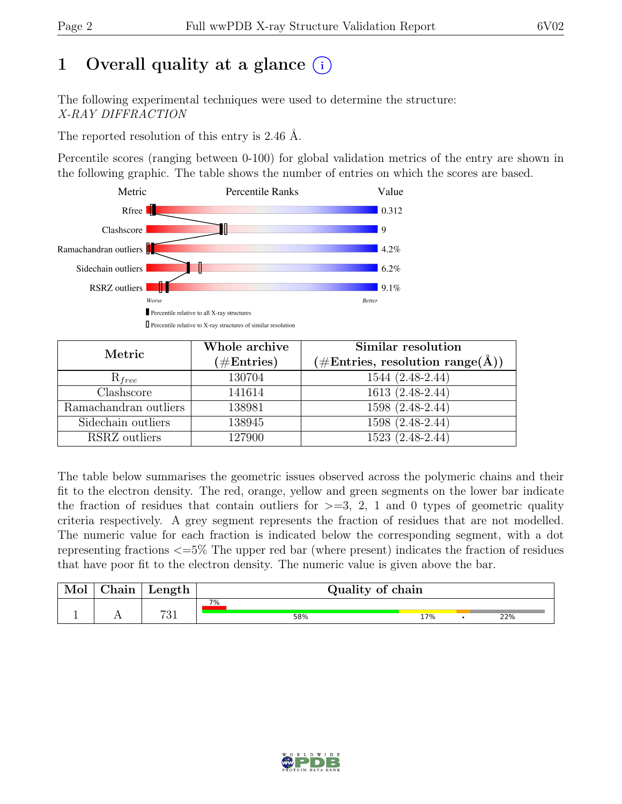# 1 Overall quality at a glance  $(i)$

The following experimental techniques were used to determine the structure: X-RAY DIFFRACTION

The reported resolution of this entry is 2.46 Å.

Percentile scores (ranging between 0-100) for global validation metrics of the entry are shown in the following graphic. The table shows the number of entries on which the scores are based.



| Metric                | Whole archive | Similar resolution                                   |
|-----------------------|---------------|------------------------------------------------------|
|                       | $(\#Entries)$ | $(\# \text{Entries}, \text{ resolution range}(\AA))$ |
| $R_{free}$            | 130704        | 1544 (2.48-2.44)                                     |
| Clashscore            | 141614        | 1613 (2.48-2.44)                                     |
| Ramachandran outliers | 138981        | $1598(2.48-2.44)$                                    |
| Sidechain outliers    | 138945        | 1598 (2.48-2.44)                                     |
| RSRZ outliers         | 127900        | 1523 (2.48-2.44)                                     |

The table below summarises the geometric issues observed across the polymeric chains and their fit to the electron density. The red, orange, yellow and green segments on the lower bar indicate the fraction of residues that contain outliers for  $\geq$ =3, 2, 1 and 0 types of geometric quality criteria respectively. A grey segment represents the fraction of residues that are not modelled. The numeric value for each fraction is indicated below the corresponding segment, with a dot representing fractions <=5% The upper red bar (where present) indicates the fraction of residues that have poor fit to the electron density. The numeric value is given above the bar.

| nain           | $\mu$ ength |    | Quality of chain |     |  |     |  |  |
|----------------|-------------|----|------------------|-----|--|-----|--|--|
|                |             | 7% |                  |     |  |     |  |  |
| $\overline{1}$ | 791<br>01   |    | 58%              | 17% |  | 22% |  |  |

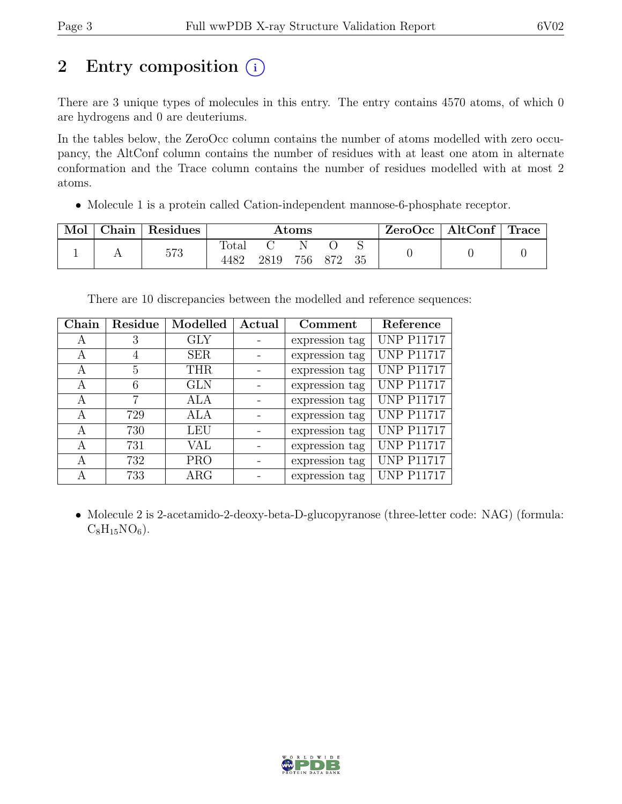# 2 Entry composition  $(i)$

There are 3 unique types of molecules in this entry. The entry contains 4570 atoms, of which 0 are hydrogens and 0 are deuteriums.

In the tables below, the ZeroOcc column contains the number of atoms modelled with zero occupancy, the AltConf column contains the number of residues with at least one atom in alternate conformation and the Trace column contains the number of residues modelled with at most 2 atoms.

• Molecule 1 is a protein called Cation-independent mannose-6-phosphate receptor.

| Mol | Chain | Residues | $\rm{Atoms}$  |      |     |     |    | ZeroOcc | $\mid$ AltConf $\mid$ Trace |  |
|-----|-------|----------|---------------|------|-----|-----|----|---------|-----------------------------|--|
|     |       | 573      | Total<br>4482 | 2819 | 756 | 872 | 35 |         |                             |  |

There are 10 discrepancies between the modelled and reference sequences:

| Chain | Residue | Modelled   | $\rm Actual$ | Comment        | Reference         |
|-------|---------|------------|--------------|----------------|-------------------|
| А     | 3       | <b>GLY</b> |              | expression tag | <b>UNP P11717</b> |
| А     | 4       | <b>SER</b> |              | expression tag | <b>UNP P11717</b> |
| A     | 5       | THR        |              | expression tag | <b>UNP P11717</b> |
| A     | 6       | <b>GLN</b> |              | expression tag | <b>UNP P11717</b> |
| А     | 7       | ALA        |              | expression tag | <b>UNP P11717</b> |
| А     | 729     | ALA        |              | expression tag | <b>UNP P11717</b> |
| A     | 730     | <b>LEU</b> |              | expression tag | <b>UNP P11717</b> |
| А     | 731     | VAL        |              | expression tag | <b>UNP P11717</b> |
| A     | 732     | <b>PRO</b> |              | expression tag | <b>UNP P11717</b> |
| А     | 733     | ARG        |              | expression tag | <b>UNP P11717</b> |

• Molecule 2 is 2-acetamido-2-deoxy-beta-D-glucopyranose (three-letter code: NAG) (formula:  $C_8H_{15}NO_6$ .

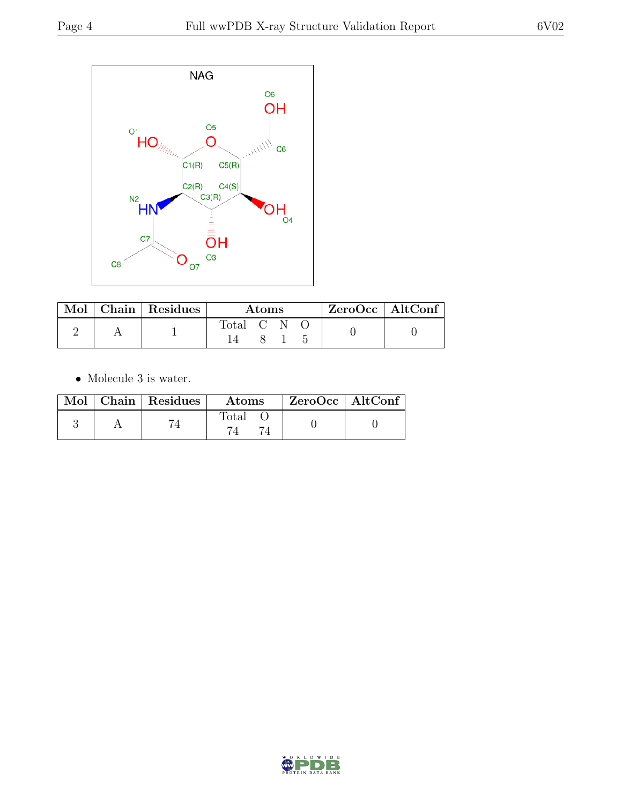

|  | Mol   Chain   Residues | Atoms     |  |  | EcroOcc   AltConf |  |
|--|------------------------|-----------|--|--|-------------------|--|
|  |                        | Total C N |  |  |                   |  |

 $\bullet\,$  Molecule 3 is water.

|  | $Mol$   Chain   Residues | <b>Atoms</b> | $ZeroOcc \   \ AltConf$ |  |
|--|--------------------------|--------------|-------------------------|--|
|  |                          | Total        |                         |  |

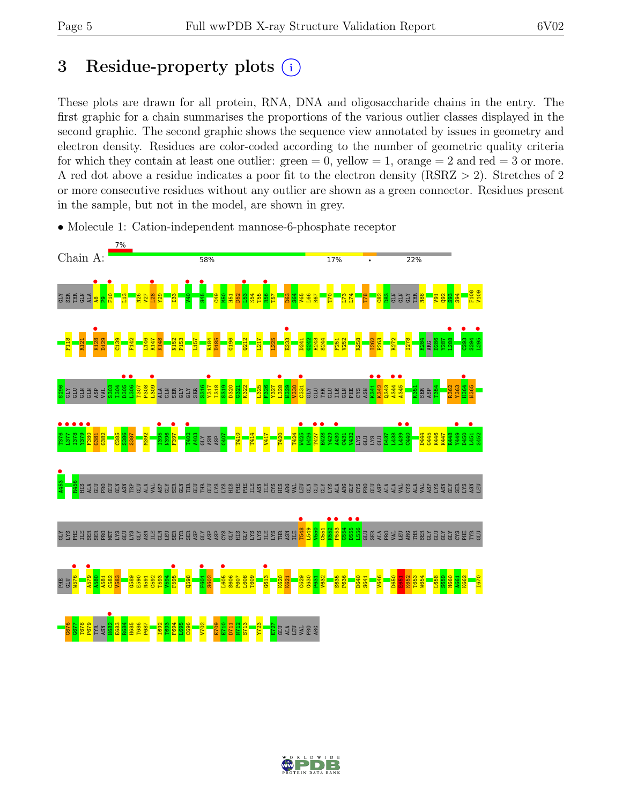# 3 Residue-property plots  $(i)$

These plots are drawn for all protein, RNA, DNA and oligosaccharide chains in the entry. The first graphic for a chain summarises the proportions of the various outlier classes displayed in the second graphic. The second graphic shows the sequence view annotated by issues in geometry and electron density. Residues are color-coded according to the number of geometric quality criteria for which they contain at least one outlier:  $green = 0$ , yellow  $= 1$ , orange  $= 2$  and red  $= 3$  or more. A red dot above a residue indicates a poor fit to the electron density (RSRZ > 2). Stretches of 2 or more consecutive residues without any outlier are shown as a green connector. Residues present in the sample, but not in the model, are shown in grey.



• Molecule 1: Cation-independent mannose-6-phosphate receptor

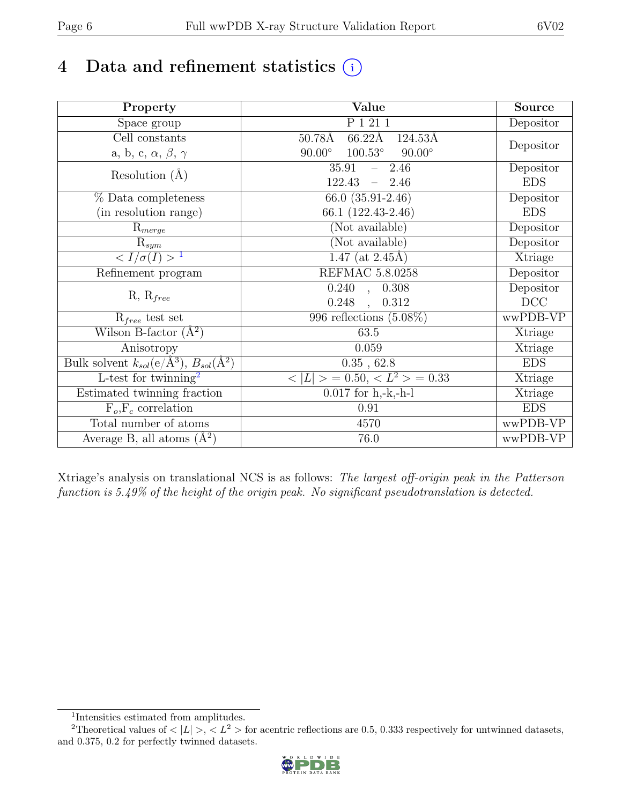# 4 Data and refinement statistics  $(i)$

| Property                                                             | Value                                             | Source     |
|----------------------------------------------------------------------|---------------------------------------------------|------------|
| Space group                                                          | P 1 21 1                                          | Depositor  |
| Cell constants                                                       | $66.22\text{\AA}$<br>$50.78\text{\AA}$<br>124.53Å |            |
| a, b, c, $\alpha$ , $\beta$ , $\gamma$                               | $100.53^\circ$<br>$90.00^\circ$<br>$90.00^\circ$  | Depositor  |
| Resolution $(A)$                                                     | 35.91<br>$-2.46$                                  | Depositor  |
|                                                                      | $122.43 - 2.46$                                   | <b>EDS</b> |
| % Data completeness                                                  | 66.0 $(35.91-2.46)$                               | Depositor  |
| (in resolution range)                                                | 66.1 (122.43-2.46)                                | <b>EDS</b> |
| $R_{merge}$                                                          | (Not available)                                   | Depositor  |
| $\mathrm{R}_{sym}$                                                   | (Not available)                                   | Depositor  |
| $\sqrt{I/\sigma(I)} > 1$                                             | 1.47 (at $2.45\text{\AA}$ )                       | Xtriage    |
| Refinement program                                                   | <b>REFMAC 5.8.0258</b>                            | Depositor  |
|                                                                      | $\overline{0.240}$ ,<br>0.308                     | Depositor  |
| $R, R_{free}$                                                        | 0.248<br>0.312<br>$\overline{\phantom{a}}$        | DCC        |
| $R_{free}$ test set                                                  | 996 reflections $(5.08\%)$                        | wwPDB-VP   |
| Wilson B-factor $(A^2)$                                              | 63.5                                              | Xtriage    |
| Anisotropy                                                           | 0.059                                             | Xtriage    |
| Bulk solvent $k_{sol}(e/\mathring{A}^3)$ , $B_{sol}(\mathring{A}^2)$ | 0.35, 62.8                                        | <b>EDS</b> |
| L-test for twinning <sup>2</sup>                                     | $< L >$ = 0.50, $< L2$ > = 0.33                   | Xtriage    |
| Estimated twinning fraction                                          | $\overline{0.017}$ for h,-k,-h-l                  | Xtriage    |
| $F_o, F_c$ correlation                                               | 0.91                                              | <b>EDS</b> |
| Total number of atoms                                                | 4570                                              | wwPDB-VP   |
| Average B, all atoms $(A^2)$                                         | 76.0                                              | wwPDB-VP   |

Xtriage's analysis on translational NCS is as follows: The largest off-origin peak in the Patterson function is 5.49% of the height of the origin peak. No significant pseudotranslation is detected.

<sup>&</sup>lt;sup>2</sup>Theoretical values of  $\langle |L| \rangle$ ,  $\langle L^2 \rangle$  for acentric reflections are 0.5, 0.333 respectively for untwinned datasets, and 0.375, 0.2 for perfectly twinned datasets.



<span id="page-5-1"></span><span id="page-5-0"></span><sup>1</sup> Intensities estimated from amplitudes.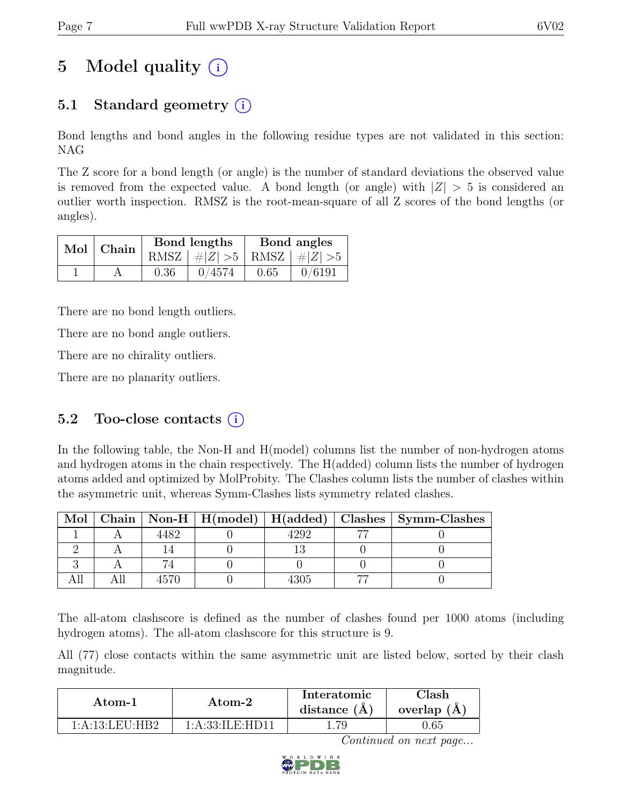# 5 Model quality  $(i)$

# 5.1 Standard geometry  $(i)$

Bond lengths and bond angles in the following residue types are not validated in this section: NAG

The Z score for a bond length (or angle) is the number of standard deviations the observed value is removed from the expected value. A bond length (or angle) with  $|Z| > 5$  is considered an outlier worth inspection. RMSZ is the root-mean-square of all Z scores of the bond lengths (or angles).

| Mol   Chain |      | Bond lengths                    | Bond angles |        |  |
|-------------|------|---------------------------------|-------------|--------|--|
|             |      | RMSZ $ #Z  > 5$ RMSZ $ #Z  > 5$ |             |        |  |
|             | 0.36 | 0/4574                          | 0.65        | 0/6191 |  |

There are no bond length outliers.

There are no bond angle outliers.

There are no chirality outliers.

There are no planarity outliers.

## 5.2 Too-close contacts  $(i)$

In the following table, the Non-H and H(model) columns list the number of non-hydrogen atoms and hydrogen atoms in the chain respectively. The H(added) column lists the number of hydrogen atoms added and optimized by MolProbity. The Clashes column lists the number of clashes within the asymmetric unit, whereas Symm-Clashes lists symmetry related clashes.

| Mol |  |  | Chain   Non-H   H(model)   H(added)   Clashes   Symm-Clashes |
|-----|--|--|--------------------------------------------------------------|
|     |  |  |                                                              |
|     |  |  |                                                              |
|     |  |  |                                                              |
|     |  |  |                                                              |

The all-atom clashscore is defined as the number of clashes found per 1000 atoms (including hydrogen atoms). The all-atom clashscore for this structure is 9.

All (77) close contacts within the same asymmetric unit are listed below, sorted by their clash magnitude.

| Atom-1         | Atom-2          | Interatomic<br>distance $(A)$ | Clash<br>overlap $(A)$ |
|----------------|-----------------|-------------------------------|------------------------|
| 1:A:13:LEU:HB2 | 1:A:33:ILE:HD11 | 1.79                          | J.65                   |

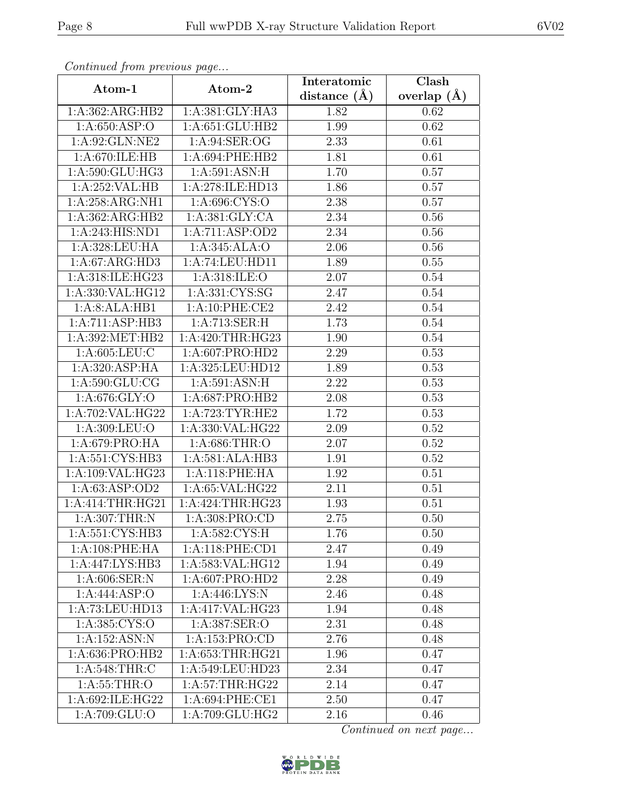| Continuea from previous page |                   | Interatomic    | Clash           |
|------------------------------|-------------------|----------------|-----------------|
| Atom-1                       | Atom-2            | distance $(A)$ | overlap $(\AA)$ |
| 1:A:362:ARG:HB2              | 1:A:381:GLY:HA3   | 1.82           | 0.62            |
| 1:A:650:ASP:O                | 1:A:651:GLU:HB2   | 1.99           | 0.62            |
| 1:A:92:GLN:NE2               | 1: A:94: SER:OG   | 2.33           | 0.61            |
| 1:A:670:ILE:HB               | 1:A:694:PHE:HB2   | 1.81           | 0.61            |
| 1:A:590:GLU:HG3              | 1: A:591: ASN:H   | 1.70           | 0.57            |
| 1:A:252:VAL:HB               | 1:A:278:ILE:HD13  | 1.86           | 0.57            |
| 1:A:258:ARG:NH1              | 1:A:696:CYS:O     | 2.38           | 0.57            |
| 1:A:362:ARG:HB2              | 1: A:381: GLY:CA  | 2.34           | 0.56            |
| 1:A:243:HIS:ND1              | 1:A:711:ASP:OD2   | 2.34           | 0.56            |
| 1:A:328:LEU:HA               | 1:A:345:ALA:O     | 2.06           | 0.56            |
| 1:A:67:ARG:HD3               | 1:A:74:LEU:HD11   | 1.89           | 0.55            |
| 1:A:318:ILE:HG23             | 1:A:318:ILE:O     | 2.07           | 0.54            |
| 1:A:330:VAL:HG12             | 1:A:331:CYS:SG    | 2.47           | 0.54            |
| 1:A:8:ALA:HB1                | 1:A:10:PHE:CE2    | 2.42           | 0.54            |
| 1:A:711:ASP:HB3              | 1:A:713:SER:H     | 1.73           | 0.54            |
| 1:A:392:MET:HB2              | 1: A:420:THR:HG23 | 1.90           | 0.54            |
| 1: A:605:LEU:C               | 1:A:607:PRO:HD2   | 2.29           | 0.53            |
| 1:A:320:ASP:HA               | 1:A:325:LEU:HD12  | 1.89           | 0.53            |
| 1: A:590: GLU:CG             | 1: A:591: ASN:H   | 2.22           | 0.53            |
| 1: A:676: GLY:O              | 1: A:687: PRO:HB2 | 2.08           | 0.53            |
| 1: A:702: VAL: HG22          | 1: A:723:TYR:HE2  | 1.72           | 0.53            |
| 1:A:309:LEU:O                | 1:A:330:VAL:HG22  | 2.09           | $0.52\,$        |
| 1:A:679:PRO:HA               | 1:A:686:THR:O     | 2.07           | 0.52            |
| 1: A:551: CYS:HB3            | 1:A:581:ALA:HB3   | 1.91           | 0.52            |
| 1:A:109:VAL:HG23             | 1:A:118:PHE:HA    | 1.92           | 0.51            |
| 1:A:63:ASP:OD2               | 1: A:65: VAL:HG22 | 2.11           | 0.51            |
| 1:A:414:THR:HG21             | 1:A:424:THR:HG23  | 1.93           | 0.51            |
| 1:A:307:THR:N                | 1:A:308:PRO:CD    | $2.75\,$       | 0.50            |
| 1:A:551:CYS:HB3              | 1:A:582:CYS:H     | 1.76           | 0.50            |
| 1:A:108:PHE:HA               | 1: A:118: PHE:CD1 | 2.47           | 0.49            |
| 1:A:447:LYS:HB3              | 1:A:583:VAL:HG12  | 1.94           | 0.49            |
| 1: A:606: SER: N             | 1: A:607: PRO:HD2 | 2.28           | 0.49            |
| 1:A:444:ASP:O                | 1: A:446: LYS:N   | 2.46           | 0.48            |
| 1:A:73:LEU:HD13              | 1:A:417:VAL:HG23  | 1.94           | 0.48            |
| 1:A:385:CYS:O                | 1:A:387:SER:O     | 2.31           | 0.48            |
| 1:A:152:ASN:N                | 1:A:153:PRO:CD    | 2.76           | 0.48            |
| 1:A:636:PRO:HB2              | 1: A:653:THR:HG21 | 1.96           | 0.47            |
| 1:A:548:THR:C                | 1:A:549:LEU:HD23  | 2.34           | 0.47            |
| 1: A:55:THR:O                | 1: A:57:THR:HG22  | 2.14           | 0.47            |
| 1:A:692:ILE:HG22             | 1:A:694:PHE:CE1   | 2.50           | 0.47            |
| 1:A:709:GLU:O                | 1:A:709:GLU:HG2   | 2.16           | 0.46            |

Continued from previous page.

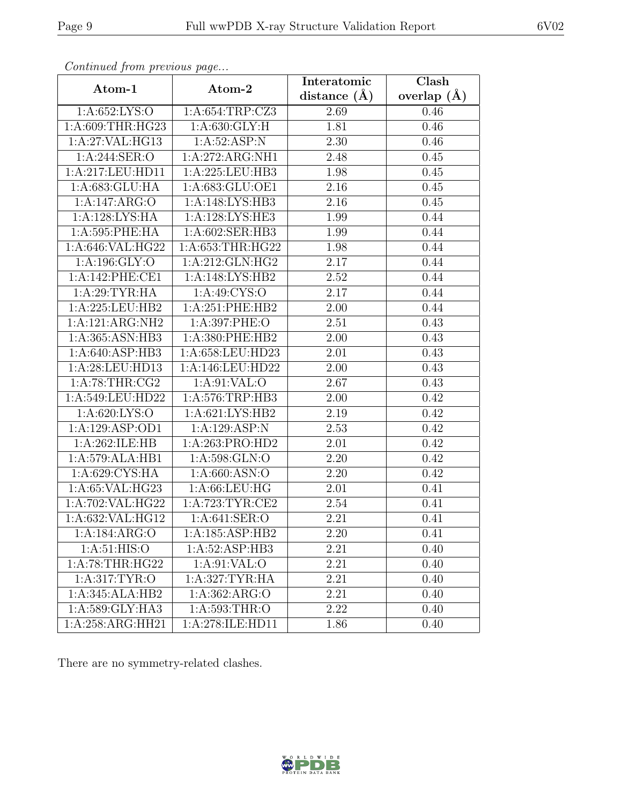| Continua from previous page  |                      | Interatomic      | $\overline{\text{Clash}}$ |
|------------------------------|----------------------|------------------|---------------------------|
| Atom-1                       | Atom-2               | distance $(\AA)$ | overlap $(A)$             |
| 1: A: 652: LYS: O            | 1:A:654:TRP:CZ3      | 2.69             | 0.46                      |
| 1:A:609:THR:HG23             | 1: A:630: GLY: H     | 1.81             | 0.46                      |
| 1:A:27:VAL:HG13              | 1:A:52:ASP:N         | 2.30             | 0.46                      |
| 1:A:244:SER:O                | 1:A:272:ARG:NH1      | 2.48             | 0.45                      |
| 1:A:217:LEU:HD11             | 1:A:225:LEU:HB3      | 1.98             | 0.45                      |
| 1: A:683: GLU: HA            | 1:A:683:GLU:OE1      | 2.16             | 0.45                      |
| 1:A:147:ARG:O                | 1:A:148:LYS:HB3      | 2.16             | 0.45                      |
| 1:A:128:LYS:HA               | 1:A:128:LYS:HE3      | 1.99             | 0.44                      |
| 1:A:595:PHE:HA               | 1:A:602:SER:HB3      | 1.99             | 0.44                      |
| 1:A:646:VAL:HG22             | 1: A: 653: THR: HG22 | 1.98             | 0.44                      |
| 1:A:196:GLY:O                | 1:A:212:GLN:HG2      | 2.17             | 0.44                      |
| 1:A:142:PHE:CE1              | 1:A:148:LYS:HB2      | 2.52             | 0.44                      |
| 1:A:29:TYR:HA                | 1:A:49:CYS:O         | 2.17             | 0.44                      |
| 1:A:225:LEU:HB2              | 1:A:251:PHE:HB2      | 2.00             | 0.44                      |
| 1:A:121:ARG:NH2              | 1:A:397:PHE:O        | 2.51             | 0.43                      |
| 1:A:365:ASN:HB3              | 1:A:380:PHE:HB2      | 2.00             | 0.43                      |
| 1:A:640:ASP:HB3              | 1:A:658:LEU:HD23     | 2.01             | 0.43                      |
| 1: A:28:LEU:HD13             | 1:A:146:LEU:HD22     | 2.00             | 0.43                      |
| 1: A:78:THR:CG2              | 1:A:91:VAL:O         | 2.67             | 0.43                      |
| 1:A:549:LEU:HD22             | 1:A:576:TRP:HB3      | 2.00             | 0.42                      |
| 1: A:620: LYS:O              | 1:A:621:LYS:HB2      | 2.19             | 0.42                      |
| 1:A:129:ASP:OD1              | 1:A:129:ASP:N        | 2.53             | 0.42                      |
| 1:A:262:ILE:HB               | 1:A:263:PRO:HD2      | 2.01             | 0.42                      |
| 1:A:579:ALA:HB1              | 1:A:598:GLN:O        | 2.20             | 0.42                      |
| 1:A:629:CYS:HA               | 1: A:660: ASN:O      | 2.20             | 0.42                      |
| 1:A:65:VAL:HG23              | 1:A:66:LEU:HG        | 2.01             | 0.41                      |
| 1:A:702:VAL:HG22             | 1: A:723: TYR: CE2   | 2.54             | 0.41                      |
| 1:A:632:VAL:HG12             | 1: A:641: SER:O      | 2.21             | 0.41                      |
| 1:A:184:ARG:O                | 1:A:185:ASP:HB2      | 2.20             | 0.41                      |
| 1: A:51: HIS:O               | 1: A:52: ASP:HB3     | 2.21             | 0.40                      |
| 1: A:78:THR:HG22             | 1: A:91: VAL:O       | 2.21             | 0.40                      |
| 1:A:317:TYR:O                | 1:A:327:TYR:HA       | 2.21             | 0.40                      |
| $1:A:345:AL\overline{A:H}B2$ | 1: A: 362: ARG: O    | 2.21             | 0.40                      |
| 1:A:589:GLY:HA3              | 1:A:593:THR:O        | 2.22             | 0.40                      |
| 1:A:258:ARG:HH21             | 1:A:278:ILE:HD11     | 1.86             | 0.40                      |

Continued from previous page.

There are no symmetry-related clashes.

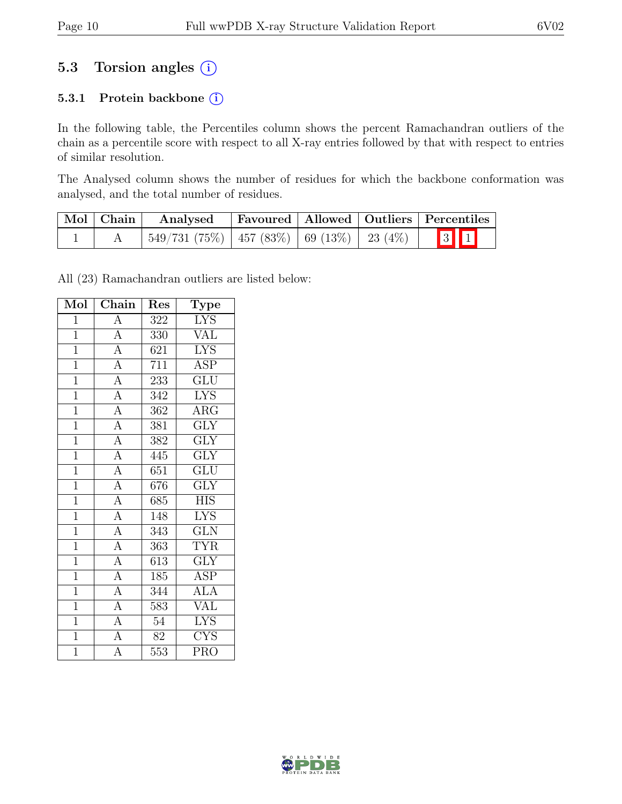## 5.3 Torsion angles  $(i)$

### 5.3.1 Protein backbone (i)

In the following table, the Percentiles column shows the percent Ramachandran outliers of the chain as a percentile score with respect to all X-ray entries followed by that with respect to entries of similar resolution.

The Analysed column shows the number of residues for which the backbone conformation was analysed, and the total number of residues.

| $\vert$ Mol $\vert$ Chain $\vert$ | Analysed                                              |  | Favoured   Allowed   Outliers   Percentiles          |
|-----------------------------------|-------------------------------------------------------|--|------------------------------------------------------|
|                                   | $\mid$ 549/731 (75%)   457 (83%)   69 (13%)   23 (4%) |  | $\begin{array}{ c c c }\n\hline\n3 & 1\n\end{array}$ |

All (23) Ramachandran outliers are listed below:

| Mol            | Chain                               | Res              | Type                    |
|----------------|-------------------------------------|------------------|-------------------------|
| $\mathbf{1}$   | $\overline{A}$                      | 322              | <b>LYS</b>              |
| $\overline{1}$ | $\overline{A}$                      | 330              | <b>VAL</b>              |
| $\mathbf{1}$   | $\overline{A}$                      | 621              | <b>LYS</b>              |
| $\overline{1}$ | $\overline{A}$                      | 711              | <b>ASP</b>              |
| $\overline{1}$ | $\overline{A}$                      | 233              | $\overline{\text{GLU}}$ |
| $\overline{1}$ | $\overline{A}$                      | 342              | <b>LYS</b>              |
| $\mathbf{1}$   | $\overline{A}$                      | 362              | $AR\overline{G}$        |
| $\overline{1}$ | $\overline{A}$                      | 381              | $\overline{\text{GLY}}$ |
| $\overline{1}$ | $\frac{A}{A}$                       | 382              | $\overline{\text{GLY}}$ |
| $\overline{1}$ |                                     | 445              | $\overline{\text{GLY}}$ |
| $\overline{1}$ | $\overline{A}$                      | 651              | $\overline{\text{GLU}}$ |
| $\mathbf{1}$   | $\overline{A}$                      | 676              | <b>GLY</b>              |
| $\overline{1}$ | $\overline{A}$                      | 685              | <b>HIS</b>              |
| $\overline{1}$ | $\frac{\overline{A}}{\overline{A}}$ | 148              | <b>LYS</b>              |
| $\overline{1}$ |                                     | $\overline{343}$ | $\overline{\text{GLN}}$ |
| $\mathbf{1}$   | $\overline{A}$                      | 363              | $\overline{\text{TYR}}$ |
| $\mathbf{1}$   | $\overline{A}$                      | 613              | <b>GLY</b>              |
| $\mathbf{1}$   | $\frac{\overline{A}}{\overline{A}}$ | 185              | $\overline{\text{ASP}}$ |
| $\overline{1}$ |                                     | 344              | <b>ALA</b>              |
| $\overline{1}$ | $\overline{A}$                      | $\overline{583}$ | $\overline{\text{VAL}}$ |
| $\overline{1}$ | $\overline{A}$                      | 54               | <b>LYS</b>              |
| $\overline{1}$ | $\overline{A}$                      | 82               | <b>CYS</b>              |
| $\overline{1}$ | $\overline{\rm A}$                  | $\overline{553}$ | $\bar{P}RO$             |

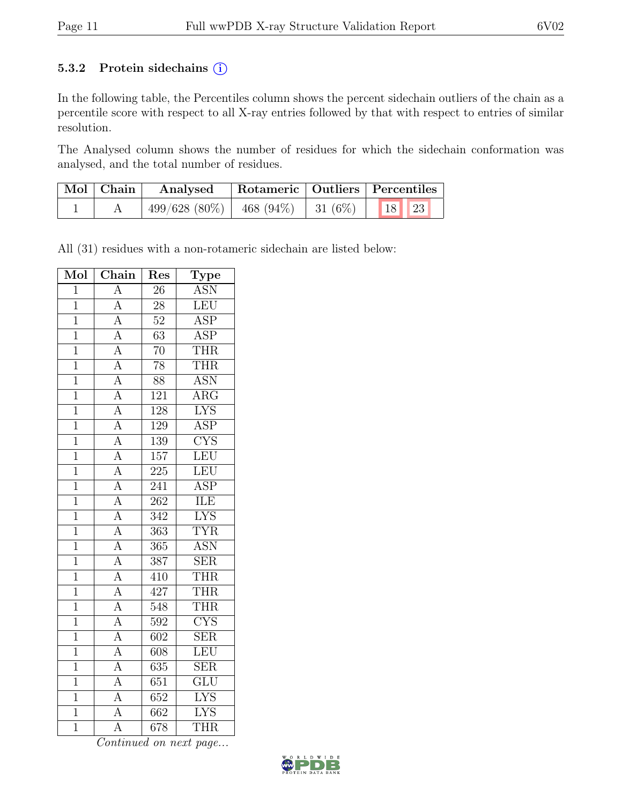### 5.3.2 Protein sidechains  $(i)$

In the following table, the Percentiles column shows the percent sidechain outliers of the chain as a percentile score with respect to all X-ray entries followed by that with respect to entries of similar resolution.

The Analysed column shows the number of residues for which the sidechain conformation was analysed, and the total number of residues.

| $\mid$ Mol $\mid$ Chain $\mid$ | Rotameric   Outliers   Percentiles<br>Analysed  |  |  |
|--------------------------------|-------------------------------------------------|--|--|
|                                | $499/628$ (80%)   468 (94%)   31 (6%)   18   23 |  |  |

All (31) residues with a non-rotameric sidechain are listed below:

| Mol            | $\overline{\text{Chain}}$           | Res               | Type                    |
|----------------|-------------------------------------|-------------------|-------------------------|
| $\overline{1}$ | $\overline{A}$                      | 26                | <b>ASN</b>              |
| $\overline{1}$ | $\overline{A}$                      | $\overline{28}$   | <b>LEU</b>              |
| $\overline{1}$ | $\overline{A}$                      | $\overline{52}$   | <b>ASP</b>              |
| $\overline{1}$ | $\overline{A}$                      | $\overline{63}$   | $\overline{\text{ASP}}$ |
| $\mathbf{1}$   | $\overline{A}$                      | $\overline{70}$   | THR                     |
| $\mathbf{1}$   | $\frac{\overline{A}}{\overline{A}}$ | 78                | <b>THR</b>              |
| $\overline{1}$ |                                     | $\overline{88}$   | <b>ASN</b>              |
| $\overline{1}$ | $\overline{A}$                      | 121               | $\overline{\rm{ARG}}$   |
| $\mathbf{1}$   | $\overline{A}$                      | 128               | $\overline{\text{LYS}}$ |
| $\mathbf{1}$   | $\overline{A}$                      | 129               | <b>ASP</b>              |
| $\mathbf{1}$   | $\overline{A}$                      | 139               | $\overline{\text{CYS}}$ |
| $\overline{1}$ | $\overline{A}$                      | 157               | LEU                     |
| $\overline{1}$ | $\overline{A}$                      | 225               | LEU                     |
| $\overline{1}$ | $\overline{A}$                      | 241               | $\overline{\text{ASP}}$ |
| $\mathbf{1}$   | $\overline{A}$                      | 262               | ILE                     |
| $\overline{1}$ | $\overline{A}$                      | 342               | $\overline{\text{LYS}}$ |
| $\overline{1}$ | $\overline{A}$                      | $\overline{363}$  | <b>TYR</b>              |
| $\overline{1}$ | $\overline{A}$                      | 365               | <b>ASN</b>              |
| $\overline{1}$ | $\overline{A}$                      | 387               | $\overline{\text{SER}}$ |
| $\mathbf{1}$   | $\overline{A}$                      | 410               | <b>THR</b>              |
| $\overline{1}$ | $\overline{A}$                      | 427               | <b>THR</b>              |
| $\overline{1}$ | $\overline{A}$                      | 548               | <b>THR</b>              |
| $\overline{1}$ | $\overline{A}$                      | 592               | $\overline{\text{CYS}}$ |
| $\overline{1}$ | $\overline{A}$                      | $\overline{602}$  | $\overline{\text{SER}}$ |
| $\mathbf{1}$   | $\overline{A}$                      | 608               | <b>LEU</b>              |
| $\overline{1}$ | $\overline{A}$                      | $\overline{635}$  | $\overline{\text{SER}}$ |
| $\overline{1}$ | $\overline{A}$                      | 651               | $\overline{\text{GLU}}$ |
| $\overline{1}$ | $\overline{A}$                      | 652               | <b>LYS</b>              |
| $\overline{1}$ | $\overline{\rm A}$                  | 662               | $\overline{\text{LYS}}$ |
| $\overline{1}$ | $\overline{\rm A}$                  | $\overline{6}$ 78 | <b>THR</b>              |

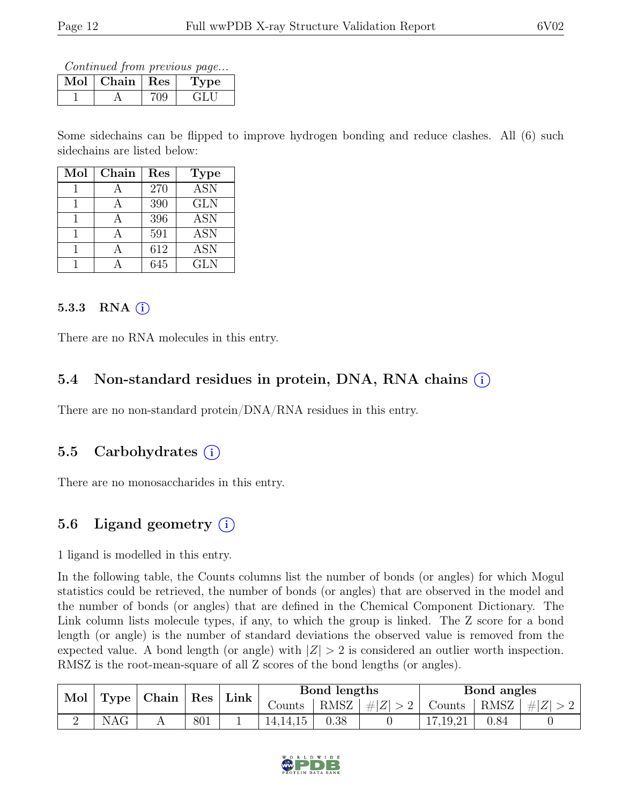Continued from previous page...

| Mol | Chain   Res | ype |
|-----|-------------|-----|
|     |             |     |

Some sidechains can be flipped to improve hydrogen bonding and reduce clashes. All (6) such sidechains are listed below:

| Mol | Chain | Res | <b>Type</b> |
|-----|-------|-----|-------------|
|     |       | 270 | <b>ASN</b>  |
|     |       | 390 | <b>GLN</b>  |
|     |       | 396 | <b>ASN</b>  |
|     |       | 591 | <b>ASN</b>  |
|     |       | 612 | ASN         |
|     |       | 645 | <b>GLN</b>  |

### 5.3.3 RNA  $(i)$

There are no RNA molecules in this entry.

## 5.4 Non-standard residues in protein, DNA, RNA chains (i)

There are no non-standard protein/DNA/RNA residues in this entry.

### 5.5 Carbohydrates (i)

There are no monosaccharides in this entry.

## 5.6 Ligand geometry  $(i)$

1 ligand is modelled in this entry.

In the following table, the Counts columns list the number of bonds (or angles) for which Mogul statistics could be retrieved, the number of bonds (or angles) that are observed in the model and the number of bonds (or angles) that are defined in the Chemical Component Dictionary. The Link column lists molecule types, if any, to which the group is linked. The Z score for a bond length (or angle) is the number of standard deviations the observed value is removed from the expected value. A bond length (or angle) with  $|Z| > 2$  is considered an outlier worth inspection. RMSZ is the root-mean-square of all Z scores of the bond lengths (or angles).

| Mol | Type | Chain   Res |     | Link |          | Bond lengths |       |          | Bond angles |  |
|-----|------|-------------|-----|------|----------|--------------|-------|----------|-------------|--|
|     |      |             |     |      | Counts   | RMSZ         | $\#Z$ | Counts   | RMSZ $ #Z $ |  |
|     | NAG  |             | 801 |      | 14.14.15 | 0.38         |       | 17,19,21 | 0.84        |  |

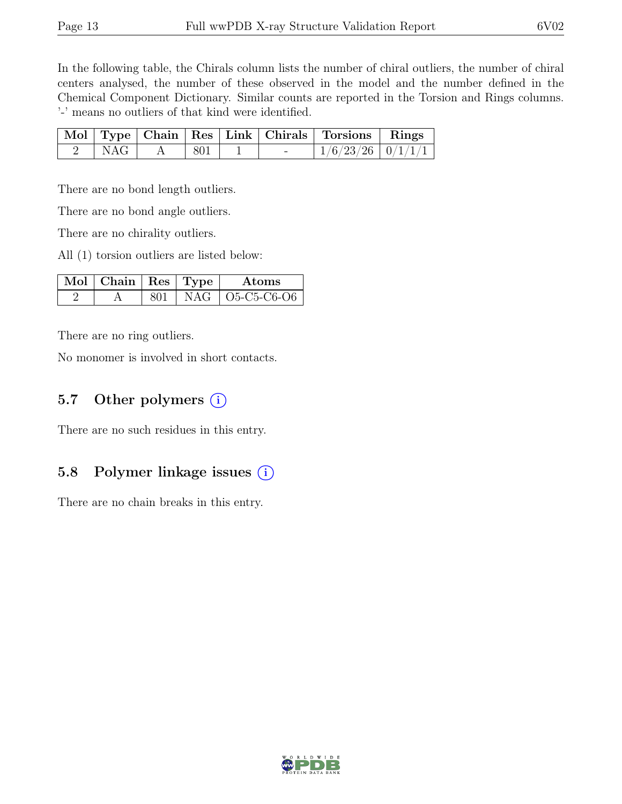In the following table, the Chirals column lists the number of chiral outliers, the number of chiral centers analysed, the number of these observed in the model and the number defined in the Chemical Component Dictionary. Similar counts are reported in the Torsion and Rings columns. '-' means no outliers of that kind were identified.

|     |     |  | Mol   Type   Chain   Res   Link   Chirals   Torsions   Rings |  |
|-----|-----|--|--------------------------------------------------------------|--|
| NAG | 801 |  | $1/6/23/26$   $0/1/1/1$                                      |  |

There are no bond length outliers.

There are no bond angle outliers.

There are no chirality outliers.

All (1) torsion outliers are listed below:

| $\mathbf{Mol}$   Chain   Res   Type $\mathbf{V}$ |  | Atoms               |
|--------------------------------------------------|--|---------------------|
|                                                  |  | $NAG$   O5-C5-C6-O6 |

There are no ring outliers.

No monomer is involved in short contacts.

### 5.7 Other polymers  $(i)$

There are no such residues in this entry.

### 5.8 Polymer linkage issues (i)

There are no chain breaks in this entry.

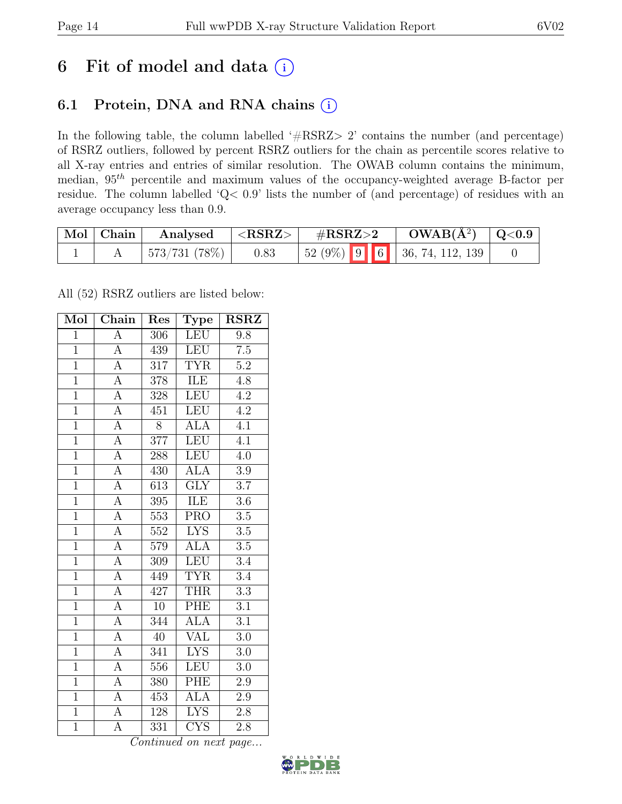# 6 Fit of model and data  $(i)$

## 6.1 Protein, DNA and RNA chains (i)

In the following table, the column labelled ' $\#\text{RSRZ}>2$ ' contains the number (and percentage) of RSRZ outliers, followed by percent RSRZ outliers for the chain as percentile scores relative to all X-ray entries and entries of similar resolution. The OWAB column contains the minimum, median, 95th percentile and maximum values of the occupancy-weighted average B-factor per residue. The column labelled 'Q< 0.9' lists the number of (and percentage) of residues with an average occupancy less than 0.9.

| Mol Chain | Analysed     | ${ <\hspace{-1.5pt} \mathbf{RSRZ}\hspace{-1.5pt}>}$ | $\rm \#RSRZ{>}2$                                                                                 | $OWAB(A^2)$ $ $ Q<0.9 |  |
|-----------|--------------|-----------------------------------------------------|--------------------------------------------------------------------------------------------------|-----------------------|--|
|           | 573/731(78%) | 0.83                                                | $\begin{array}{ c c c c c c c c } \hline 52 & 9\% & 9 & 6 & 36, 74, 112, 139 \hline \end{array}$ |                       |  |

All (52) RSRZ outliers are listed below:

| Mol            | $\overline{\text{Chain}}$ | Res              | Type                    | <b>RSRZ</b>      |  |
|----------------|---------------------------|------------------|-------------------------|------------------|--|
| $\overline{1}$ | $\overline{A}$            | 306              | LEU                     | 9.8              |  |
| $\overline{1}$ | $\overline{A}$            | 439              | LEU                     | $\overline{7.5}$ |  |
| $\overline{1}$ | $\overline{A}$            | 317              | <b>TYR</b>              | $\overline{5.2}$ |  |
| $\overline{1}$ | $\overline{A}$            | 378              | ILE                     | 4.8              |  |
| $\overline{1}$ | $\overline{A}$            | $\overline{328}$ | <b>LEU</b>              | $\overline{4.2}$ |  |
| $\overline{1}$ | $\overline{\rm A}$        | 451              | <b>LEU</b>              | 4.2              |  |
| $\overline{1}$ | $\overline{A}$            | $\overline{8}$   | <b>ALA</b>              | $\overline{4.1}$ |  |
| $\overline{1}$ | $\overline{A}$            | 377              | LEU                     | $\overline{4.1}$ |  |
| $\overline{1}$ | $\overline{A}$            | 288              | <b>LEU</b>              | $\overline{4.0}$ |  |
| $\overline{1}$ | $\overline{A}$            | 430              | <b>ALA</b>              | $\overline{3.9}$ |  |
| $\overline{1}$ | $\overline{\rm A}$        | 613              | $\overline{\text{GLY}}$ | $\overline{3.7}$ |  |
| $\overline{1}$ | $\overline{A}$            | $\overline{395}$ | ILE                     | $\overline{3.6}$ |  |
| $\overline{1}$ | $\overline{A}$            | 553              | <b>PRO</b>              | $\overline{3.5}$ |  |
| $\mathbf{1}$   | $\overline{A}$            | 552              | <b>LYS</b>              | $\overline{3.5}$ |  |
| $\overline{1}$ | $\overline{A}$            | 579              | <b>ALA</b>              | $\overline{3.5}$ |  |
| $\overline{1}$ | $\overline{A}$            | 309              | <b>LEU</b>              | 3.4              |  |
| $\overline{1}$ | $\overline{A}$            | 449              | $\overline{\text{TYR}}$ | $\overline{3.4}$ |  |
| $\overline{1}$ | $\overline{A}$            | 427              | <b>THR</b>              | $\overline{3.3}$ |  |
| $\overline{1}$ | $\overline{A}$            | $10\,$           | PHE                     | $\overline{3.1}$ |  |
| $\overline{1}$ | $\overline{A}$            | 344              | $\overline{ALA}$        | $\overline{3.1}$ |  |
| $\overline{1}$ | $\overline{A}$            | $\overline{40}$  | <b>VAL</b>              | $3.0\,$          |  |
| $\overline{1}$ | $\overline{A}$            | $\overline{341}$ | <b>LYS</b>              | $\overline{3.0}$ |  |
| $\overline{1}$ | $\overline{\rm A}$        | 556              | LEU                     | 3.0              |  |
| $\overline{1}$ | $\overline{A}$            | 380              | PHE                     | $2.9\,$          |  |
| $\overline{1}$ | $\overline{A}$            | 453              | $\overline{ALA}$        | $2.9\,$          |  |
| $\overline{1}$ | A                         | 128              | <b>LYS</b>              | $2.8\,$          |  |
| $\overline{1}$ | $\overline{A}$            | 331              | $\overline{\text{CYS}}$ | 2.8              |  |

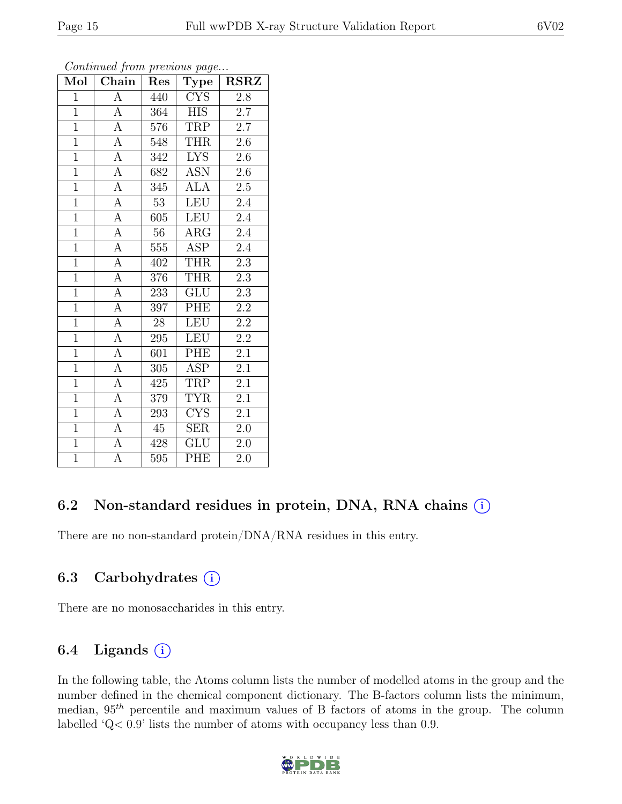|--|--|

| Mol            | $\overline{\text{Chain}}$ | Res             | $\mathrm{\bar{Ty}pe}$   | <b>RSRZ</b>      |  |
|----------------|---------------------------|-----------------|-------------------------|------------------|--|
| $\overline{1}$ | А                         | 440             | <b>CYS</b>              | $2.8\,$          |  |
| $\overline{1}$ | $\overline{A}$            | 364             | HIS                     | 2.7              |  |
| $\overline{1}$ | $\overline{A}$            | 576             | <b>TRP</b>              | $2.7\,$          |  |
| $\overline{1}$ | $\overline{A}$            | 548             | <b>THR</b>              | $2.6\,$          |  |
| $\overline{1}$ | $\overline{A}$            | 342             | <b>LYS</b>              | $2.6\,$          |  |
| $\overline{1}$ | $\overline{A}$            | 682             | <b>ASN</b>              | $2.6\,$          |  |
| $\overline{1}$ | $\overline{A}$            | 345             | <b>ALA</b>              | $2.5\,$          |  |
| $\overline{1}$ | $\overline{A}$            | $\overline{53}$ | <b>LEU</b>              | 2.4              |  |
| $\overline{1}$ | $\overline{A}$            | 605             | <b>LEU</b>              | $2.\overline{4}$ |  |
| $\overline{1}$ | $\overline{A}$            | 56              | ARG                     | 2.4              |  |
| $\overline{1}$ | $\overline{A}$            | 555             | <b>ASP</b>              | $2.4\,$          |  |
| $\overline{1}$ | $\overline{A}$            | 402             | <b>THR</b>              | $\overline{2.3}$ |  |
| $\overline{1}$ | $\overline{A}$            | 376             | <b>THR</b>              | $2.3\,$          |  |
| $\overline{1}$ | $\overline{A}$            | 233             | <b>GLU</b>              | 2.3              |  |
| $\overline{1}$ | $\overline{A}$            | 397             | PHE                     | $\overline{2.2}$ |  |
| $\overline{1}$ | $\overline{A}$            | 28              | <b>LEU</b>              | $2.2\,$          |  |
| $\overline{1}$ | $\overline{\rm A}$        | 295             | <b>LEU</b>              | $\overline{2.2}$ |  |
| $\overline{1}$ | $\overline{A}$            | 601             | PHE                     | $2.\overline{1}$ |  |
| $\overline{1}$ | $\overline{A}$            | 305             | ASP                     | $2.1\,$          |  |
| $\overline{1}$ | $\overline{A}$            | 425             | TRP                     | $2.1\,$          |  |
| $\overline{1}$ | $\overline{A}$            | 379             | <b>TYR</b>              | 2.1              |  |
| $\overline{1}$ | $\boldsymbol{A}$          | 293             | <b>CYS</b>              | 2.1              |  |
| $\overline{1}$ | $\overline{A}$            | 45              | <b>SER</b>              | $2.0\,$          |  |
| $\overline{1}$ | $\overline{\rm A}$        | 428             | $\overline{\text{GLU}}$ | 2.0              |  |
| $\overline{1}$ | $\overline{A}$            | 595             | PHE                     | 2.0              |  |

Continued from previous page...

### 6.2 Non-standard residues in protein, DNA, RNA chains (i)

There are no non-standard protein/DNA/RNA residues in this entry.

### 6.3 Carbohydrates  $(i)$

There are no monosaccharides in this entry.

## 6.4 Ligands  $(i)$

In the following table, the Atoms column lists the number of modelled atoms in the group and the number defined in the chemical component dictionary. The B-factors column lists the minimum, median,  $95<sup>th</sup>$  percentile and maximum values of B factors of atoms in the group. The column labelled 'Q< 0.9' lists the number of atoms with occupancy less than 0.9.